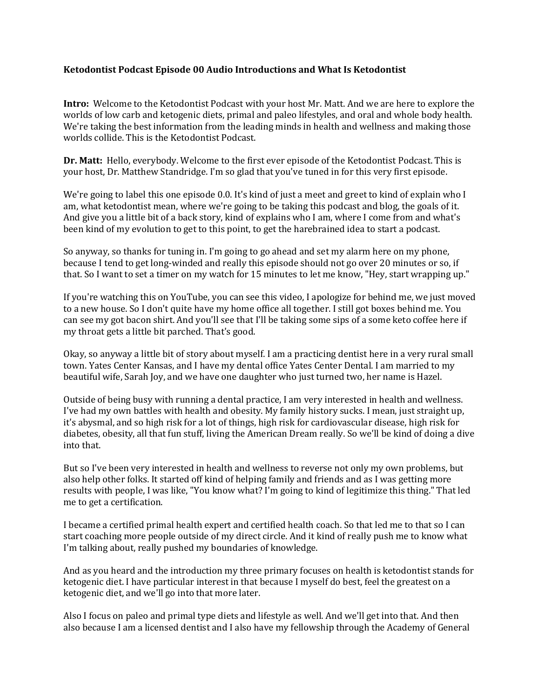## **Ketodontist Podcast Episode 00 Audio Introductions and What Is Ketodontist**

**Intro:** Welcome to the Ketodontist Podcast with your host Mr. Matt. And we are here to explore the worlds of low carb and ketogenic diets, primal and paleo lifestyles, and oral and whole body health. We're taking the best information from the leading minds in health and wellness and making those worlds collide. This is the Ketodontist Podcast.

**Dr. Matt:** Hello, everybody. Welcome to the first ever episode of the Ketodontist Podcast. This is your host, Dr. Matthew Standridge. I'm so glad that you've tuned in for this very first episode.

We're going to label this one episode 0.0. It's kind of just a meet and greet to kind of explain who I am, what ketodontist mean, where we're going to be taking this podcast and blog, the goals of it. And give you a little bit of a back story, kind of explains who I am, where I come from and what's been kind of my evolution to get to this point, to get the harebrained idea to start a podcast.

So anyway, so thanks for tuning in. I'm going to go ahead and set my alarm here on my phone, because I tend to get long-winded and really this episode should not go over 20 minutes or so, if that. So I want to set a timer on my watch for 15 minutes to let me know, "Hey, start wrapping up."

If you're watching this on YouTube, you can see this video, I apologize for behind me, we just moved to a new house. So I don't quite have my home office all together. I still got boxes behind me. You can see my got bacon shirt. And you'll see that I'll be taking some sips of a some keto coffee here if my throat gets a little bit parched. That's good.

Okay, so anyway a little bit of story about myself. I am a practicing dentist here in a very rural small town. Yates Center Kansas, and I have my dental office Yates Center Dental. I am married to my beautiful wife, Sarah Joy, and we have one daughter who just turned two, her name is Hazel.

Outside of being busy with running a dental practice, I am very interested in health and wellness. I've had my own battles with health and obesity. My family history sucks. I mean, just straight up, it's abysmal, and so high risk for a lot of things, high risk for cardiovascular disease, high risk for diabetes, obesity, all that fun stuff, living the American Dream really. So we'll be kind of doing a dive into that.

But so I've been very interested in health and wellness to reverse not only my own problems, but also help other folks. It started off kind of helping family and friends and as I was getting more results with people, I was like, "You know what? I'm going to kind of legitimize this thing." That led me to get a certification.

I became a certified primal health expert and certified health coach. So that led me to that so I can start coaching more people outside of my direct circle. And it kind of really push me to know what I'm talking about, really pushed my boundaries of knowledge.

And as you heard and the introduction my three primary focuses on health is ketodontist stands for ketogenic diet. I have particular interest in that because I myself do best, feel the greatest on a ketogenic diet, and we'll go into that more later.

Also I focus on paleo and primal type diets and lifestyle as well. And we'll get into that. And then also because I am a licensed dentist and I also have my fellowship through the Academy of General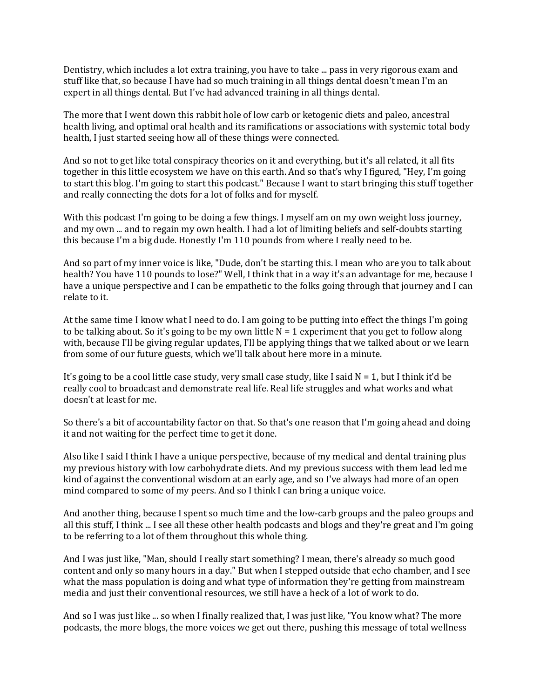Dentistry, which includes a lot extra training, you have to take ... pass in very rigorous exam and stuff like that, so because I have had so much training in all things dental doesn't mean I'm an expert in all things dental. But I've had advanced training in all things dental.

The more that I went down this rabbit hole of low carb or ketogenic diets and paleo, ancestral health living, and optimal oral health and its ramifications or associations with systemic total body health, I just started seeing how all of these things were connected.

And so not to get like total conspiracy theories on it and everything, but it's all related, it all fits together in this little ecosystem we have on this earth. And so that's why I figured, "Hey, I'm going to start this blog. I'm going to start this podcast." Because I want to start bringing this stuff together and really connecting the dots for a lot of folks and for myself.

With this podcast I'm going to be doing a few things. I myself am on my own weight loss journey, and my own ... and to regain my own health. I had a lot of limiting beliefs and self-doubts starting this because I'm a big dude. Honestly I'm 110 pounds from where I really need to be.

And so part of my inner voice is like, "Dude, don't be starting this. I mean who are you to talk about health? You have 110 pounds to lose?" Well, I think that in a way it's an advantage for me, because I have a unique perspective and I can be empathetic to the folks going through that journey and I can relate to it.

At the same time I know what I need to do. I am going to be putting into effect the things I'm going to be talking about. So it's going to be my own little  $N = 1$  experiment that you get to follow along with, because I'll be giving regular updates, I'll be applying things that we talked about or we learn from some of our future guests, which we'll talk about here more in a minute.

It's going to be a cool little case study, very small case study, like I said  $N = 1$ , but I think it'd be really cool to broadcast and demonstrate real life. Real life struggles and what works and what doesn't at least for me.

So there's a bit of accountability factor on that. So that's one reason that I'm going ahead and doing it and not waiting for the perfect time to get it done.

Also like I said I think I have a unique perspective, because of my medical and dental training plus my previous history with low carbohydrate diets. And my previous success with them lead led me kind of against the conventional wisdom at an early age, and so I've always had more of an open mind compared to some of my peers. And so I think I can bring a unique voice.

And another thing, because I spent so much time and the low-carb groups and the paleo groups and all this stuff, I think ... I see all these other health podcasts and blogs and they're great and I'm going to be referring to a lot of them throughout this whole thing.

And I was just like, "Man, should I really start something? I mean, there's already so much good content and only so many hours in a day." But when I stepped outside that echo chamber, and I see what the mass population is doing and what type of information they're getting from mainstream media and just their conventional resources, we still have a heck of a lot of work to do.

And so I was just like ... so when I finally realized that, I was just like, "You know what? The more podcasts, the more blogs, the more voices we get out there, pushing this message of total wellness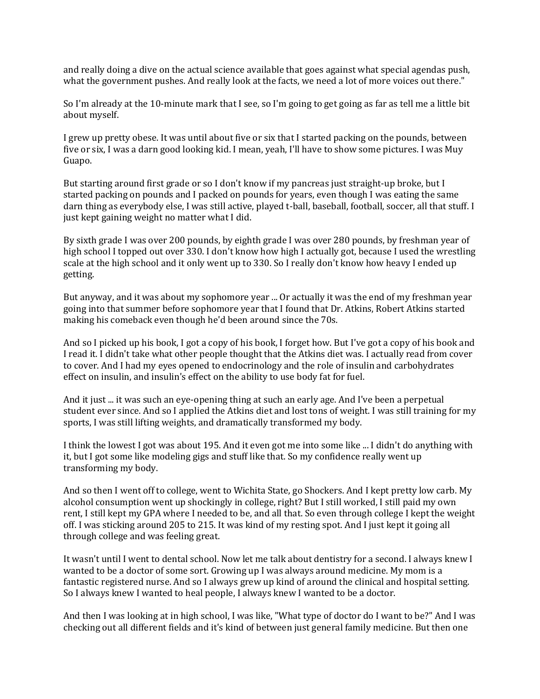and really doing a dive on the actual science available that goes against what special agendas push, what the government pushes. And really look at the facts, we need a lot of more voices out there."

So I'm already at the 10-minute mark that I see, so I'm going to get going as far as tell me a little bit about myself.

I grew up pretty obese. It was until about five or six that I started packing on the pounds, between five or six, I was a darn good looking kid. I mean, yeah, I'll have to show some pictures. I was Muy Guapo.

But starting around first grade or so I don't know if my pancreas just straight-up broke, but I started packing on pounds and I packed on pounds for years, even though I was eating the same darn thing as everybody else, I was still active, played t-ball, baseball, football, soccer, all that stuff. I just kept gaining weight no matter what I did.

By sixth grade I was over 200 pounds, by eighth grade I was over 280 pounds, by freshman year of high school I topped out over 330. I don't know how high I actually got, because I used the wrestling scale at the high school and it only went up to 330. So I really don't know how heavy I ended up getting.

But anyway, and it was about my sophomore year ... Or actually it was the end of my freshman year going into that summer before sophomore year that I found that Dr. Atkins, Robert Atkins started making his comeback even though he'd been around since the 70s.

And so I picked up his book, I got a copy of his book, I forget how. But I've got a copy of his book and I read it. I didn't take what other people thought that the Atkins diet was. I actually read from cover to cover. And I had my eyes opened to endocrinology and the role of insulin and carbohydrates effect on insulin, and insulin's effect on the ability to use body fat for fuel.

And it just ... it was such an eye-opening thing at such an early age. And I've been a perpetual student ever since. And so I applied the Atkins diet and lost tons of weight. I was still training for my sports, I was still lifting weights, and dramatically transformed my body.

I think the lowest I got was about 195. And it even got me into some like ... I didn't do anything with it, but I got some like modeling gigs and stuff like that. So my confidence really went up transforming my body.

And so then I went off to college, went to Wichita State, go Shockers. And I kept pretty low carb. My alcohol consumption went up shockingly in college, right? But I still worked, I still paid my own rent, I still kept my GPA where I needed to be, and all that. So even through college I kept the weight off. I was sticking around 205 to 215. It was kind of my resting spot. And I just kept it going all through college and was feeling great.

It wasn't until I went to dental school. Now let me talk about dentistry for a second. I always knew I wanted to be a doctor of some sort. Growing up I was always around medicine. My mom is a fantastic registered nurse. And so I always grew up kind of around the clinical and hospital setting. So I always knew I wanted to heal people, I always knew I wanted to be a doctor.

And then I was looking at in high school, I was like, "What type of doctor do I want to be?" And I was checking out all different fields and it's kind of between just general family medicine. But then one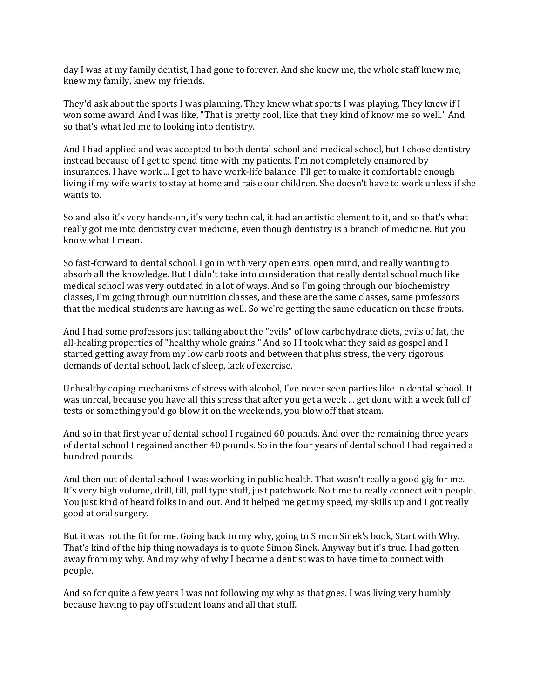day I was at my family dentist, I had gone to forever. And she knew me, the whole staff knew me, knew my family, knew my friends.

They'd ask about the sports I was planning. They knew what sports I was playing. They knew if I won some award. And I was like, "That is pretty cool, like that they kind of know me so well." And so that's what led me to looking into dentistry.

And I had applied and was accepted to both dental school and medical school, but I chose dentistry instead because of I get to spend time with my patients. I'm not completely enamored by insurances. I have work ... I get to have work-life balance. I'll get to make it comfortable enough living if my wife wants to stay at home and raise our children. She doesn't have to work unless if she wants to.

So and also it's very hands-on, it's very technical, it had an artistic element to it, and so that's what really got me into dentistry over medicine, even though dentistry is a branch of medicine. But you know what I mean.

So fast-forward to dental school, I go in with very open ears, open mind, and really wanting to absorb all the knowledge. But I didn't take into consideration that really dental school much like medical school was very outdated in a lot of ways. And so I'm going through our biochemistry classes, I'm going through our nutrition classes, and these are the same classes, same professors that the medical students are having as well. So we're getting the same education on those fronts.

And I had some professors just talking about the "evils" of low carbohydrate diets, evils of fat, the all-healing properties of "healthy whole grains." And so I I took what they said as gospel and I started getting away from my low carb roots and between that plus stress, the very rigorous demands of dental school, lack of sleep, lack of exercise.

Unhealthy coping mechanisms of stress with alcohol, I've never seen parties like in dental school. It was unreal, because you have all this stress that after you get a week ... get done with a week full of tests or something you'd go blow it on the weekends, you blow off that steam.

And so in that first year of dental school I regained 60 pounds. And over the remaining three years of dental school I regained another 40 pounds. So in the four years of dental school I had regained a hundred pounds.

And then out of dental school I was working in public health. That wasn't really a good gig for me. It's very high volume, drill, fill, pull type stuff, just patchwork. No time to really connect with people. You just kind of heard folks in and out. And it helped me get my speed, my skills up and I got really good at oral surgery.

But it was not the fit for me. Going back to my why, going to Simon Sinek's book, Start with Why. That's kind of the hip thing nowadays is to quote Simon Sinek. Anyway but it's true. I had gotten away from my why. And my why of why I became a dentist was to have time to connect with people.

And so for quite a few years I was not following my why as that goes. I was living very humbly because having to pay off student loans and all that stuff.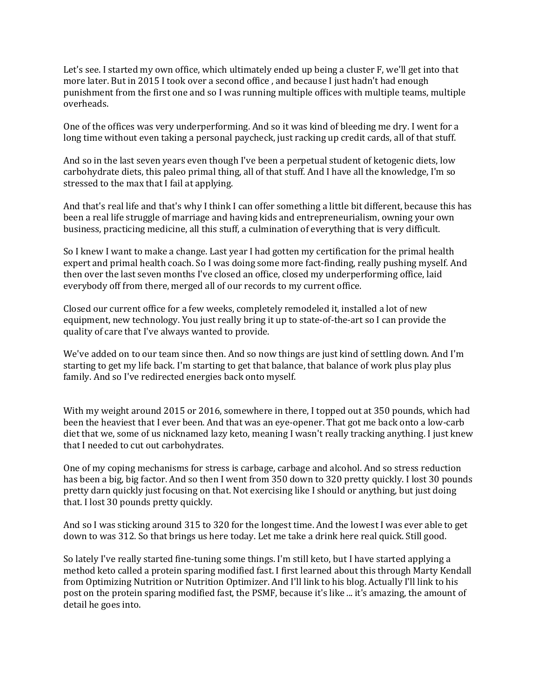Let's see. I started my own office, which ultimately ended up being a cluster F, we'll get into that more later. But in 2015 I took over a second office , and because I just hadn't had enough punishment from the first one and so I was running multiple offices with multiple teams, multiple overheads.

One of the offices was very underperforming. And so it was kind of bleeding me dry. I went for a long time without even taking a personal paycheck, just racking up credit cards, all of that stuff.

And so in the last seven years even though I've been a perpetual student of ketogenic diets, low carbohydrate diets, this paleo primal thing, all of that stuff. And I have all the knowledge, I'm so stressed to the max that I fail at applying.

And that's real life and that's why I think I can offer something a little bit different, because this has been a real life struggle of marriage and having kids and entrepreneurialism, owning your own business, practicing medicine, all this stuff, a culmination of everything that is very difficult.

So I knew I want to make a change. Last year I had gotten my certification for the primal health expert and primal health coach. So I was doing some more fact-finding, really pushing myself. And then over the last seven months I've closed an office, closed my underperforming office, laid everybody off from there, merged all of our records to my current office.

Closed our current office for a few weeks, completely remodeled it, installed a lot of new equipment, new technology. You just really bring it up to state-of-the-art so I can provide the quality of care that I've always wanted to provide.

We've added on to our team since then. And so now things are just kind of settling down. And I'm starting to get my life back. I'm starting to get that balance, that balance of work plus play plus family. And so I've redirected energies back onto myself.

With my weight around 2015 or 2016, somewhere in there, I topped out at 350 pounds, which had been the heaviest that I ever been. And that was an eye-opener. That got me back onto a low-carb diet that we, some of us nicknamed lazy keto, meaning I wasn't really tracking anything. I just knew that I needed to cut out carbohydrates.

One of my coping mechanisms for stress is carbage, carbage and alcohol. And so stress reduction has been a big, big factor. And so then I went from 350 down to 320 pretty quickly. I lost 30 pounds pretty darn quickly just focusing on that. Not exercising like I should or anything, but just doing that. I lost 30 pounds pretty quickly.

And so I was sticking around 315 to 320 for the longest time. And the lowest I was ever able to get down to was 312. So that brings us here today. Let me take a drink here real quick. Still good.

So lately I've really started fine-tuning some things. I'm still keto, but I have started applying a method keto called a protein sparing modified fast. I first learned about this through Marty Kendall from Optimizing Nutrition or Nutrition Optimizer. And I'll link to his blog. Actually I'll link to his post on the protein sparing modified fast, the PSMF, because it's like ... it's amazing, the amount of detail he goes into.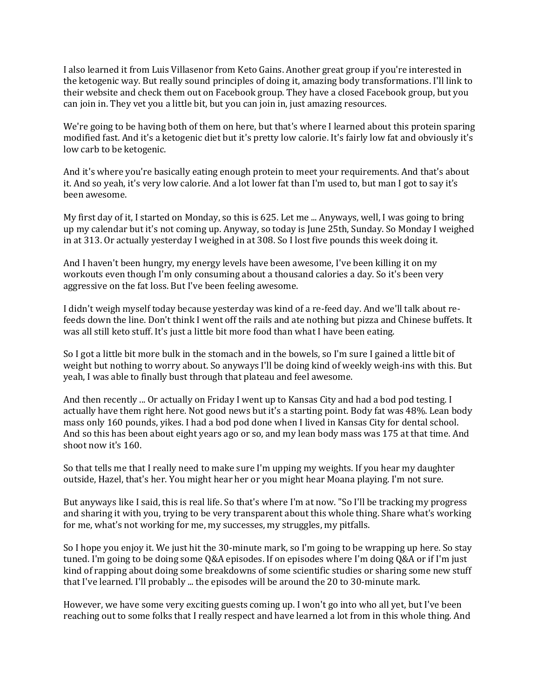I also learned it from Luis Villasenor from Keto Gains. Another great group if you're interested in the ketogenic way. But really sound principles of doing it, amazing body transformations. I'll link to their website and check them out on Facebook group. They have a closed Facebook group, but you can join in. They vet you a little bit, but you can join in, just amazing resources.

We're going to be having both of them on here, but that's where I learned about this protein sparing modified fast. And it's a ketogenic diet but it's pretty low calorie. It's fairly low fat and obviously it's low carb to be ketogenic.

And it's where you're basically eating enough protein to meet your requirements. And that's about it. And so yeah, it's very low calorie. And a lot lower fat than I'm used to, but man I got to say it's been awesome.

My first day of it, I started on Monday, so this is 625. Let me ... Anyways, well, I was going to bring up my calendar but it's not coming up. Anyway, so today is June 25th, Sunday. So Monday I weighed in at 313. Or actually yesterday I weighed in at 308. So I lost five pounds this week doing it.

And I haven't been hungry, my energy levels have been awesome, I've been killing it on my workouts even though I'm only consuming about a thousand calories a day. So it's been very aggressive on the fat loss. But I've been feeling awesome.

I didn't weigh myself today because yesterday was kind of a re-feed day. And we'll talk about refeeds down the line. Don't think I went off the rails and ate nothing but pizza and Chinese buffets. It was all still keto stuff. It's just a little bit more food than what I have been eating.

So I got a little bit more bulk in the stomach and in the bowels, so I'm sure I gained a little bit of weight but nothing to worry about. So anyways I'll be doing kind of weekly weigh-ins with this. But yeah, I was able to finally bust through that plateau and feel awesome.

And then recently ... Or actually on Friday I went up to Kansas City and had a bod pod testing. I actually have them right here. Not good news but it's a starting point. Body fat was 48%. Lean body mass only 160 pounds, yikes. I had a bod pod done when I lived in Kansas City for dental school. And so this has been about eight years ago or so, and my lean body mass was 175 at that time. And shoot now it's 160.

So that tells me that I really need to make sure I'm upping my weights. If you hear my daughter outside, Hazel, that's her. You might hear her or you might hear Moana playing. I'm not sure.

But anyways like I said, this is real life. So that's where I'm at now. "So I'll be tracking my progress and sharing it with you, trying to be very transparent about this whole thing. Share what's working for me, what's not working for me, my successes, my struggles, my pitfalls.

So I hope you enjoy it. We just hit the 30-minute mark, so I'm going to be wrapping up here. So stay tuned. I'm going to be doing some Q&A episodes. If on episodes where I'm doing Q&A or if I'm just kind of rapping about doing some breakdowns of some scientific studies or sharing some new stuff that I've learned. I'll probably ... the episodes will be around the 20 to 30-minute mark.

However, we have some very exciting guests coming up. I won't go into who all yet, but I've been reaching out to some folks that I really respect and have learned a lot from in this whole thing. And